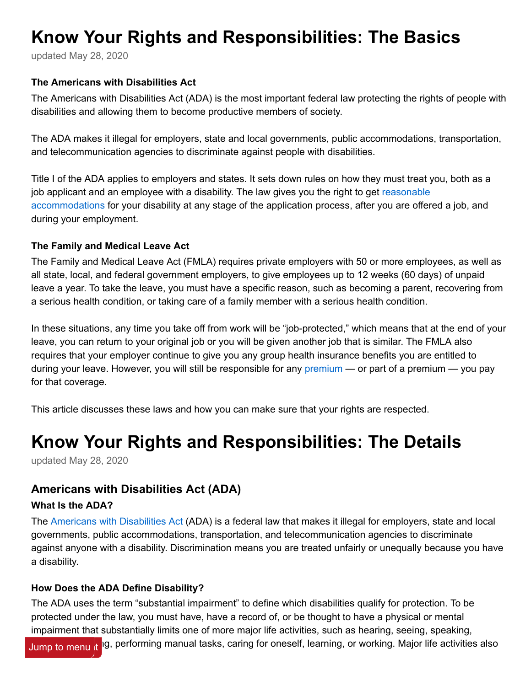# <span id="page-0-0"></span>**Know Your Rights and Responsibilities: The Basics**

updated May 28, 2020

#### **The Americans with Disabilities Act**

The Americans with Disabilities Act (ADA) is the most important federal law protecting the rights of people with disabilities and allowing them to become productive members of society.

The ADA makes it illegal for employers, state and local governments, public accommodations, transportation, and telecommunication agencies to discriminate against people with disabilities.

Title I of the ADA applies to employers and states. It sets down rules on how they must treat you, both as a [job applicant and an employee with a disability. The law gives you the right to get reasonable](https://ca.db101.org/glossary_item.aspx?item-id=978) accommodations for your disability at any stage of the application process, after you are offered a job, and during your employment.

#### **The Family and Medical Leave Act**

The Family and Medical Leave Act (FMLA) requires private employers with 50 or more employees, as well as all state, local, and federal government employers, to give employees up to 12 weeks (60 days) of unpaid leave a year. To take the leave, you must have a specific reason, such as becoming a parent, recovering from a serious health condition, or taking care of a family member with a serious health condition.

In these situations, any time you take off from work will be "job-protected," which means that at the end of your leave, you can return to your original job or you will be given another job that is similar. The FMLA also requires that your employer continue to give you any group health insurance benefits you are entitled to during your leave. However, you will still be responsible for any [premium](https://ca.db101.org/glossary_item.aspx?item-id=1079) — or part of a premium — you pay for that coverage.

This article discusses these laws and how you can make sure that your rights are respected.

# **Know Your Rights and Responsibilities: The Details**

updated May 28, 2020

# **Americans with Disabilities Act (ADA)**

#### **What Is the ADA?**

The [Americans with Disabilities Act](https://www.ada.gov/) (ADA) is a federal law that makes it illegal for employers, state and local governments, public accommodations, transportation, and telecommunication agencies to discriminate against anyone with a disability. Discrimination means you are treated unfairly or unequally because you have a disability.

#### **How Does the ADA Define Disability?**

The ADA uses the term "substantial impairment" to define which disabilities qualify for protection. To be protected under the law, you must have, have a record of, or be thought to have a physical or mental impairment that substantially limits one of more major life activities, such as hearing, seeing, speaking,

Jump to menu <mark>It </mark>lg, performing manual tasks, caring for oneself, learning, or working. Major life activities also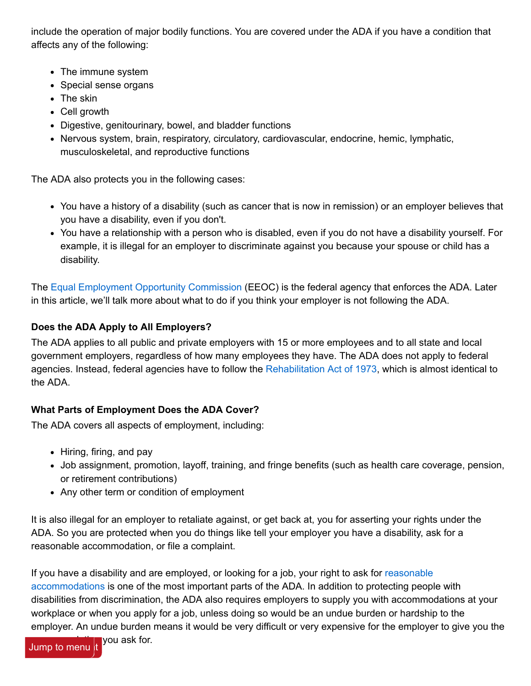include the operation of major bodily functions. You are covered under the ADA if you have a condition that affects any of the following:

- The immune system
- Special sense organs
- The skin
- Cell growth
- Digestive, genitourinary, bowel, and bladder functions
- Nervous system, brain, respiratory, circulatory, cardiovascular, endocrine, hemic, lymphatic, musculoskeletal, and reproductive functions

The ADA also protects you in the following cases:

- You have a history of a disability (such as cancer that is now in remission) or an employer believes that you have a disability, even if you don't.
- You have a relationship with a person who is disabled, even if you do not have a disability yourself. For example, it is illegal for an employer to discriminate against you because your spouse or child has a disability.

The [Equal Employment Opportunity Commission](https://www.eeoc.gov/) (EEOC) is the federal agency that enforces the ADA. Later in this article, we'll talk more about what to do if you think your employer is not following the ADA.

## **Does the ADA Apply to All Employers?**

The ADA applies to all public and private employers with 15 or more employees and to all state and local government employers, regardless of how many employees they have. The ADA does not apply to federal agencies. Instead, federal agencies have to follow the [Rehabilitation Act of 1973](https://www.dol.gov/agencies/ofccp/section-503), which is almost identical to the ADA.

# **What Parts of Employment Does the ADA Cover?**

The ADA covers all aspects of employment, including:

- Hiring, firing, and pay
- Job assignment, promotion, layoff, training, and fringe benefits (such as health care coverage, pension, or retirement contributions)
- Any other term or condition of employment

It is also illegal for an employer to retaliate against, or get back at, you for asserting your rights under the ADA. So you are protected when you do things like tell your employer you have a disability, ask for a reasonable accommodation, or file a complaint.

[If you have a disability and are employed, or looking for a job, your right to ask for reasonable](https://ca.db101.org/glossary_item.aspx?item-id=978) accommodations is one of the most important parts of the ADA. In addition to protecting people with disabilities from discrimination, the ADA also requires employers to supply you with accommodations at your workplace or when you apply for a job, unless doing so would be an undue burden or hardship to the employer. An undue burden means it would be very difficult or very expensive for the employer to give you the

vou ask for. Jump to menu t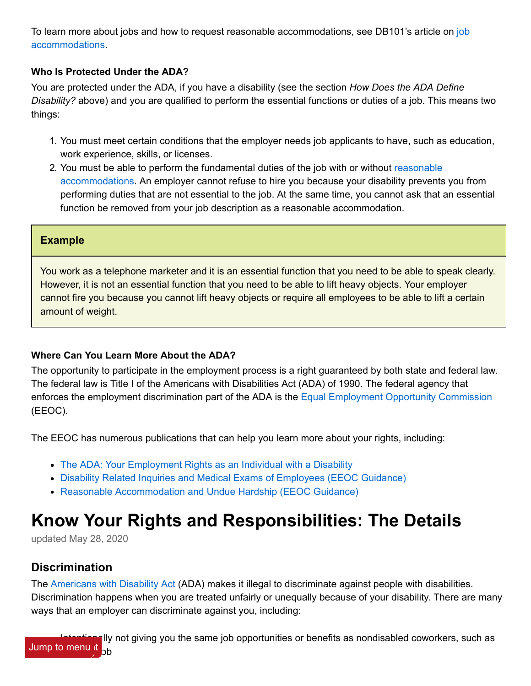[To learn more about jobs and how to request reasonable accommodations, see DB101's article on job](https://ca.db101.org/ca/situations/workandbenefits/supports/program.htm) accommodations.

### **Who Is Protected Under the ADA?**

You are protected under the ADA, if you have a disability (see the section *How Does the ADA Define Disability?* above) and you are qualified to perform the essential functions or duties of a job. This means two things:

- 1. You must meet certain conditions that the employer needs job applicants to have, such as education, work experience, skills, or licenses.
- 2. [You must be able to perform the fundamental duties of the job with or without reasonable](https://ca.db101.org/glossary_item.aspx?item-id=978) accommodations. An employer cannot refuse to hire you because your disability prevents you from performing duties that are not essential to the job. At the same time, you cannot ask that an essential function be removed from your job description as a reasonable accommodation.

#### **Example**

You work as a telephone marketer and it is an essential function that you need to be able to speak clearly. However, it is not an essential function that you need to be able to lift heavy objects. Your employer cannot fire you because you cannot lift heavy objects or require all employees to be able to lift a certain amount of weight.

#### **Where Can You Learn More About the ADA?**

The opportunity to participate in the employment process is a right guaranteed by both state and federal law. The federal law is Title I of the Americans with Disabilities Act (ADA) of 1990. The federal agency that enforces the employment discrimination part of the ADA is the [Equal Employment Opportunity Commission](https://www.eeoc.gov/) (EEOC).

The EEOC has numerous publications that can help you learn more about your rights, including:

- [The ADA: Your Employment Rights as an Individual with a Disability](https://www.eeoc.gov/laws/guidance/your-employment-rights-individual-disability)
- [Disability Related Inquiries and Medical Exams of Employees \(EEOC Guidance\)](https://www.eeoc.gov/laws/guidance/enforcement-guidance-disability-related-inquiries-and-medical-examinations-employees)
- [Reasonable Accommodation and Undue Hardship \(EEOC Guidance\)](https://www.eeoc.gov/laws/guidance/enforcement-guidance-reasonable-accommodation-and-undue-hardship-under-ada)

# **Know Your Rights and Responsibilities: The Details**

updated May 28, 2020

# **Discrimination**

The [Americans with Disability Act](https://www.ada.gov/) (ADA) makes it illegal to discriminate against people with disabilities. Discrimination happens when you are treated unfairly or unequally because of your disability. There are many ways that an employer can discriminate against you, including: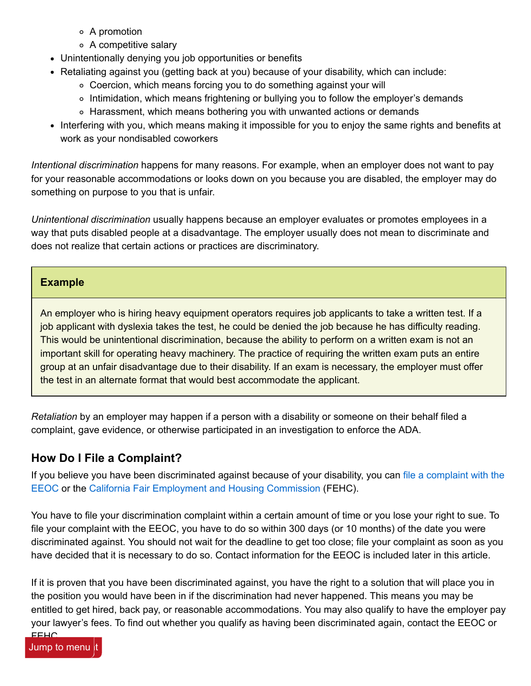- A promotion
- A competitive salary
- Unintentionally denying you job opportunities or benefits
- Retaliating against you (getting back at you) because of your disability, which can include:
	- Coercion, which means forcing you to do something against your will
	- ∘ Intimidation, which means frightening or bullying you to follow the employer's demands
	- $\circ$  Harassment, which means bothering you with unwanted actions or demands
- Interfering with you, which means making it impossible for you to enjoy the same rights and benefits at work as your nondisabled coworkers

*Intentional discrimination* happens for many reasons. For example, when an employer does not want to pay for your reasonable accommodations or looks down on you because you are disabled, the employer may do something on purpose to you that is unfair.

*Unintentional discrimination* usually happens because an employer evaluates or promotes employees in a way that puts disabled people at a disadvantage. The employer usually does not mean to discriminate and does not realize that certain actions or practices are discriminatory.

### **Example**

An employer who is hiring heavy equipment operators requires job applicants to take a written test. If a job applicant with dyslexia takes the test, he could be denied the job because he has difficulty reading. This would be unintentional discrimination, because the ability to perform on a written exam is not an important skill for operating heavy machinery. The practice of requiring the written exam puts an entire group at an unfair disadvantage due to their disability. If an exam is necessary, the employer must offer the test in an alternate format that would best accommodate the applicant.

*Retaliation* by an employer may happen if a person with a disability or someone on their behalf filed a complaint, gave evidence, or otherwise participated in an investigation to enforce the ADA.

# **How Do I File a Complaint?**

[If you believe you have been discriminated against because of your disability, you can file a complaint with the](https://www.eeoc.gov/federal-sector/filing-formal-complaint) EEOC or the [California Fair Employment and Housing Commission](https://www.dfeh.ca.gov/) (FEHC).

You have to file your discrimination complaint within a certain amount of time or you lose your right to sue. To file your complaint with the EEOC, you have to do so within 300 days (or 10 months) of the date you were discriminated against. You should not wait for the deadline to get too close; file your complaint as soon as you have decided that it is necessary to do so. Contact information for the EEOC is included later in this article.

If it is proven that you have been discriminated against, you have the right to a solution that will place you in the position you would have been in if the discrimination had never happened. This means you may be entitled to get hired, back pay, or reasonable accommodations. You may also qualify to have the employer pay your lawyer's fees. To find out whether you qualify as having been discriminated again, contact the EEOC or

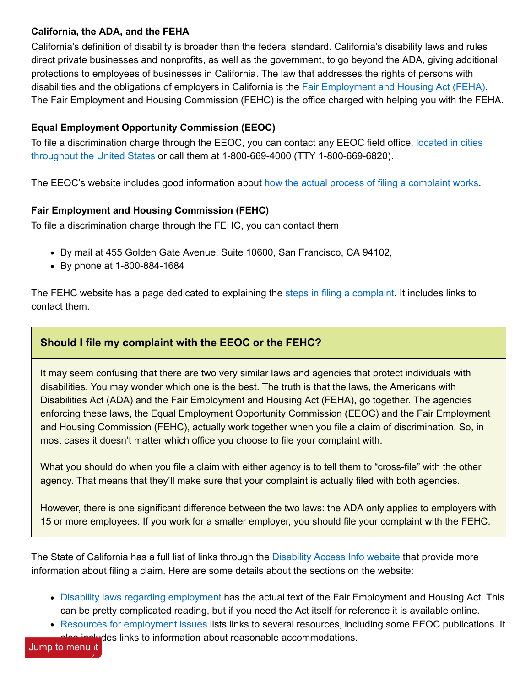### **California, the ADA, and the FEHA**

California's definition of disability is broader than the federal standard. California's disability laws and rules direct private businesses and nonprofits, as well as the government, to go beyond the ADA, giving additional protections to employees of businesses in California. The law that addresses the rights of persons with disabilities and the obligations of employers in California is the [Fair Employment and Housing Act \(FEHA\)](https://www.dfeh.ca.gov/employment/). The Fair Employment and Housing Commission (FEHC) is the office charged with helping you with the FEHA.

## **Equal Employment Opportunity Commission (EEOC)**

[To file a discrimination charge through the EEOC, you can contact any EEOC field office, located in cities](https://www.eeoc.gov/field-office) throughout the United States or call them at 1-800-669-4000 (TTY 1-800-669-6820).

The EEOC's website includes good information about [how the actual process of filing a complaint works.](https://www.eeoc.gov/filing-charge-discrimination)

### **Fair Employment and Housing Commission (FEHC)**

To file a discrimination charge through the FEHC, you can contact them

- By mail at 455 Golden Gate Avenue, Suite 10600, San Francisco, CA 94102,
- By phone at 1-800-884-1684

The FEHC website has a page dedicated to explaining the [steps in filing a complaint.](https://www.dfeh.ca.gov/complaint-process/) It includes links to contact them.

## **Should I file my complaint with the EEOC or the FEHC?**

It may seem confusing that there are two very similar laws and agencies that protect individuals with disabilities. You may wonder which one is the best. The truth is that the laws, the Americans with Disabilities Act (ADA) and the Fair Employment and Housing Act (FEHA), go together. The agencies enforcing these laws, the Equal Employment Opportunity Commission (EEOC) and the Fair Employment and Housing Commission (FEHC), actually work together when you file a claim of discrimination. So, in most cases it doesn't matter which office you choose to file your complaint with.

What you should do when you file a claim with either agency is to tell them to "cross-file" with the other agency. That means that they'll make sure that your complaint is actually filed with both agencies.

However, there is one significant difference between the two laws: the ADA only applies to employers with 15 or more employees. If you work for a smaller employer, you should file your complaint with the FEHC.

The State of California has a full list of links through the [Disability Access Info website](https://www.dor.ca.gov/DisabilityAccessInfo/) that provide more information about filing a claim. Here are some details about the sections on the website:

- [Disability laws regarding employment](https://www.dor.ca.gov/Home/DisabilityLawsandRegulations) has the actual text of the Fair Employment and Housing Act. This can be pretty complicated reading, but if you need the Act itself for reference it is available online.
- [Resources for employment issues](https://www.dor.ca.gov/Home/ResourcesforEmploymentIssues) lists links to several resources, including some EEOC publications. It aludes links to information about reasonable accommodations.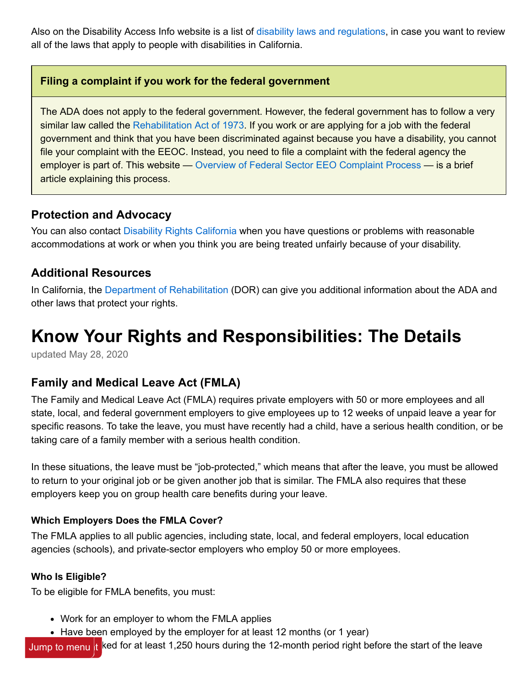Also on the Disability Access Info website is a list of [disability laws and regulations,](https://www.dor.ca.gov/Home/DisabilityLawsandRegulations) in case you want to review all of the laws that apply to people with disabilities in California.

## **Filing a complaint if you work for the federal government**

The ADA does not apply to the federal government. However, the federal government has to follow a very similar law called the [Rehabilitation Act of 1973](https://www.dol.gov/agencies/ofccp/section-503). If you work or are applying for a job with the federal government and think that you have been discriminated against because you have a disability, you cannot file your complaint with the EEOC. Instead, you need to file a complaint with the federal agency the employer is part of. This website — [Overview of Federal Sector EEO Complaint Process](https://www.eeoc.gov/federal-sector/overview-federal-sector-eeo-complaint-process) — is a brief article explaining this process.

## **Protection and Advocacy**

You can also contact [Disability Rights California](https://www.disabilityrightsca.org/) when you have questions or problems with reasonable accommodations at work or when you think you are being treated unfairly because of your disability.

# **Additional Resources**

In California, the [Department of Rehabilitation](https://www.dor.ca.gov/) (DOR) can give you additional information about the ADA and other laws that protect your rights.

# **Know Your Rights and Responsibilities: The Details**

updated May 28, 2020

# **Family and Medical Leave Act (FMLA)**

The Family and Medical Leave Act (FMLA) requires private employers with 50 or more employees and all state, local, and federal government employers to give employees up to 12 weeks of unpaid leave a year for specific reasons. To take the leave, you must have recently had a child, have a serious health condition, or be taking care of a family member with a serious health condition.

In these situations, the leave must be "job-protected," which means that after the leave, you must be allowed to return to your original job or be given another job that is similar. The FMLA also requires that these employers keep you on group health care benefits during your leave.

#### **Which Employers Does the FMLA Cover?**

The FMLA applies to all public agencies, including state, local, and federal employers, local education agencies (schools), and private-sector employers who employ 50 or more employees.

#### **Who Is Eligible?**

To be eligible for FMLA benefits, you must:

- Work for an employer to whom the FMLA applies
- Have been employed by the employer for at least 12 months (or 1 year)

Jump to menu t ked for at least 1,250 hours during the 12-month period right before the start of the leave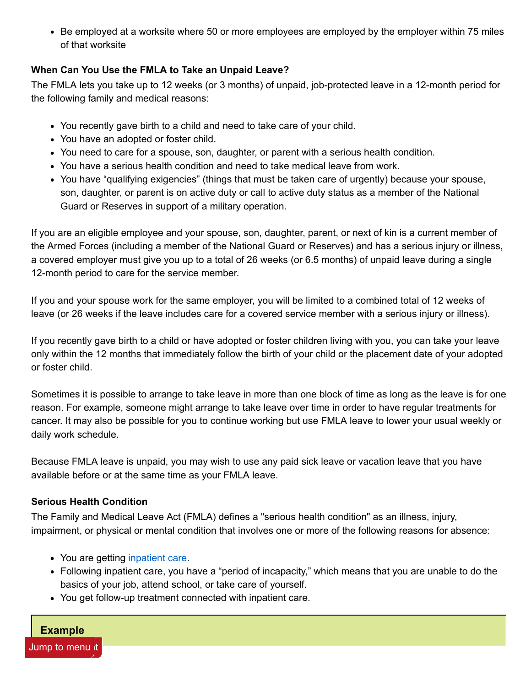Be employed at a worksite where 50 or more employees are employed by the employer within 75 miles of that worksite

## **When Can You Use the FMLA to Take an Unpaid Leave?**

The FMLA lets you take up to 12 weeks (or 3 months) of unpaid, job-protected leave in a 12-month period for the following family and medical reasons:

- You recently gave birth to a child and need to take care of your child.
- You have an adopted or foster child.
- You need to care for a spouse, son, daughter, or parent with a serious health condition.
- You have a serious health condition and need to take medical leave from work.
- You have "qualifying exigencies" (things that must be taken care of urgently) because your spouse, son, daughter, or parent is on active duty or call to active duty status as a member of the National Guard or Reserves in support of a military operation.

If you are an eligible employee and your spouse, son, daughter, parent, or next of kin is a current member of the Armed Forces (including a member of the National Guard or Reserves) and has a serious injury or illness, a covered employer must give you up to a total of 26 weeks (or 6.5 months) of unpaid leave during a single 12-month period to care for the service member.

If you and your spouse work for the same employer, you will be limited to a combined total of 12 weeks of leave (or 26 weeks if the leave includes care for a covered service member with a serious injury or illness).

If you recently gave birth to a child or have adopted or foster children living with you, you can take your leave only within the 12 months that immediately follow the birth of your child or the placement date of your adopted or foster child.

Sometimes it is possible to arrange to take leave in more than one block of time as long as the leave is for one reason. For example, someone might arrange to take leave over time in order to have regular treatments for cancer. It may also be possible for you to continue working but use FMLA leave to lower your usual weekly or daily work schedule.

Because FMLA leave is unpaid, you may wish to use any paid sick leave or vacation leave that you have available before or at the same time as your FMLA leave.

## **Serious Health Condition**

The Family and Medical Leave Act (FMLA) defines a "serious health condition" as an illness, injury, impairment, or physical or mental condition that involves one or more of the following reasons for absence:

- You are getting [inpatient care.](https://ca.db101.org/glossary_item.aspx?item-id=1060)
- Following inpatient care, you have a "period of incapacity," which means that you are unable to do the basics of your job, attend school, or take care of yourself.
- You get follow-up treatment connected with inpatient care.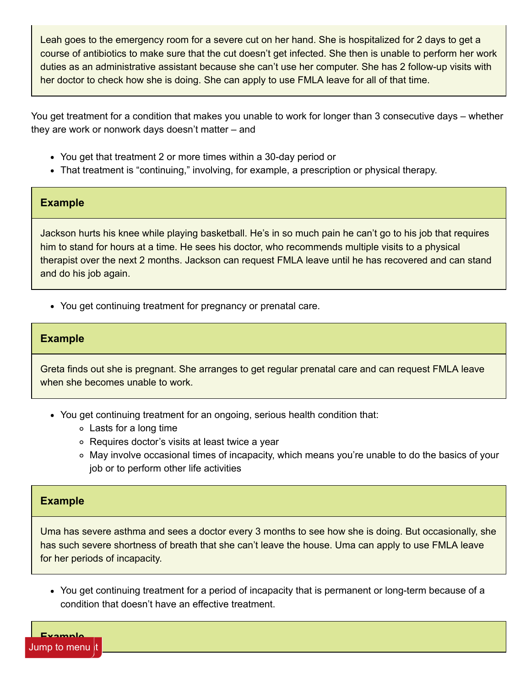Leah goes to the emergency room for a severe cut on her hand. She is hospitalized for 2 days to get a course of antibiotics to make sure that the cut doesn't get infected. She then is unable to perform her work duties as an administrative assistant because she can't use her computer. She has 2 follow-up visits with her doctor to check how she is doing. She can apply to use FMLA leave for all of that time.

You get treatment for a condition that makes you unable to work for longer than 3 consecutive days – whether they are work or nonwork days doesn't matter – and

- You get that treatment 2 or more times within a 30-day period or
- That treatment is "continuing," involving, for example, a prescription or physical therapy.

#### **Example**

Jackson hurts his knee while playing basketball. He's in so much pain he can't go to his job that requires him to stand for hours at a time. He sees his doctor, who recommends multiple visits to a physical therapist over the next 2 months. Jackson can request FMLA leave until he has recovered and can stand and do his job again.

You get continuing treatment for pregnancy or prenatal care.

#### **Example**

Greta finds out she is pregnant. She arranges to get regular prenatal care and can request FMLA leave when she becomes unable to work.

- You get continuing treatment for an ongoing, serious health condition that:
	- Lasts for a long time
	- Requires doctor's visits at least twice a year
	- May involve occasional times of incapacity, which means you're unable to do the basics of your job or to perform other life activities

#### **Example**

Uma has severe asthma and sees a doctor every 3 months to see how she is doing. But occasionally, she has such severe shortness of breath that she can't leave the house. Uma can apply to use FMLA leave for her periods of incapacity.

You get continuing treatment for a period of incapacity that is permanent or long-term because of a condition that doesn't have an effective treatment.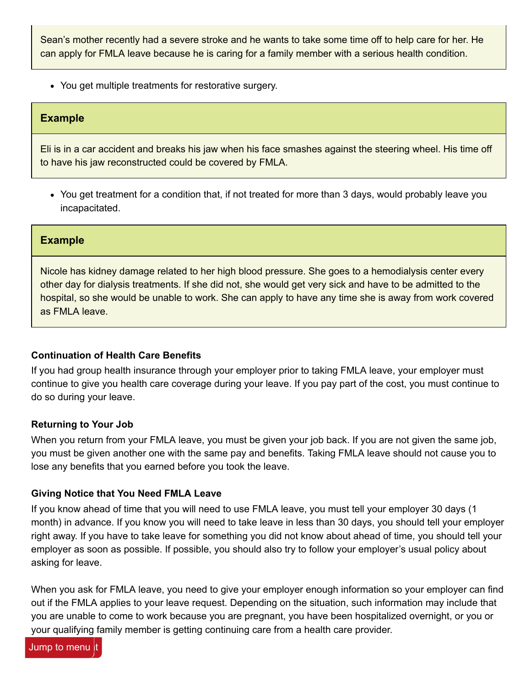Sean's mother recently had a severe stroke and he wants to take some time off to help care for her. He can apply for FMLA leave because he is caring for a family member with a serious health condition.

You get multiple treatments for restorative surgery.

#### **Example**

Eli is in a car accident and breaks his jaw when his face smashes against the steering wheel. His time off to have his jaw reconstructed could be covered by FMLA.

You get treatment for a condition that, if not treated for more than 3 days, would probably leave you incapacitated.

#### **Example**

Nicole has kidney damage related to her high blood pressure. She goes to a hemodialysis center every other day for dialysis treatments. If she did not, she would get very sick and have to be admitted to the hospital, so she would be unable to work. She can apply to have any time she is away from work covered as FMLA leave.

#### **Continuation of Health Care Benefits**

If you had group health insurance through your employer prior to taking FMLA leave, your employer must continue to give you health care coverage during your leave. If you pay part of the cost, you must continue to do so during your leave.

#### **Returning to Your Job**

When you return from your FMLA leave, you must be given your job back. If you are not given the same job, you must be given another one with the same pay and benefits. Taking FMLA leave should not cause you to lose any benefits that you earned before you took the leave.

#### **Giving Notice that You Need FMLA Leave**

If you know ahead of time that you will need to use FMLA leave, you must tell your employer 30 days (1 month) in advance. If you know you will need to take leave in less than 30 days, you should tell your employer right away. If you have to take leave for something you did not know about ahead of time, you should tell your employer as soon as possible. If possible, you should also try to follow your employer's usual policy about asking for leave.

When you ask for FMLA leave, you need to give your employer enough information so your employer can find out if the FMLA applies to your leave request. Depending on the situation, such information may include that you are unable to come to work because you are pregnant, you have been hospitalized overnight, or you or your qualifying family member is getting continuing care from a health care provider.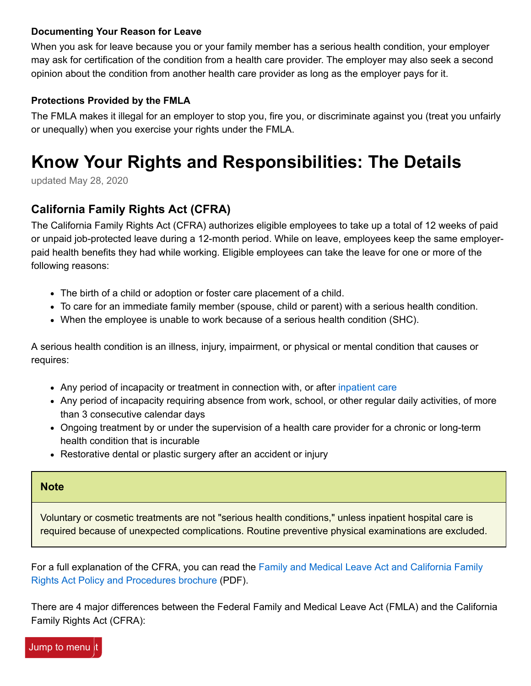#### **Documenting Your Reason for Leave**

When you ask for leave because you or your family member has a serious health condition, your employer may ask for certification of the condition from a health care provider. The employer may also seek a second opinion about the condition from another health care provider as long as the employer pays for it.

## **Protections Provided by the FMLA**

The FMLA makes it illegal for an employer to stop you, fire you, or discriminate against you (treat you unfairly or unequally) when you exercise your rights under the FMLA.

# **Know Your Rights and Responsibilities: The Details**

updated May 28, 2020

# **California Family Rights Act (CFRA)**

The California Family Rights Act (CFRA) authorizes eligible employees to take up a total of 12 weeks of paid or unpaid job-protected leave during a 12-month period. While on leave, employees keep the same employerpaid health benefits they had while working. Eligible employees can take the leave for one or more of the following reasons:

- The birth of a child or adoption or foster care placement of a child.
- To care for an immediate family member (spouse, child or parent) with a serious health condition.
- When the employee is unable to work because of a serious health condition (SHC).

A serious health condition is an illness, injury, impairment, or physical or mental condition that causes or requires:

- Any period of incapacity or treatment in connection with, or after [inpatient care](https://ca.db101.org/glossary_item.aspx?item-id=1060)
- Any period of incapacity requiring absence from work, school, or other regular daily activities, of more than 3 consecutive calendar days
- Ongoing treatment by or under the supervision of a health care provider for a chronic or long-term health condition that is incurable
- Restorative dental or plastic surgery after an accident or injury

#### **Note**

Voluntary or cosmetic treatments are not "serious health conditions," unless inpatient hospital care is required because of unexpected complications. Routine preventive physical examinations are excluded.

[For a full explanation of the CFRA, you can read the Family and Medical Leave Act and California Family](https://ww3.arb.ca.gov/personnel/posters/dfeh-188.pdf) Rights Act Policy and Procedures brochure (PDF).

There are 4 major differences between the Federal Family and Medical Leave Act (FMLA) and the California Family Rights Act (CFRA):

Jump to menu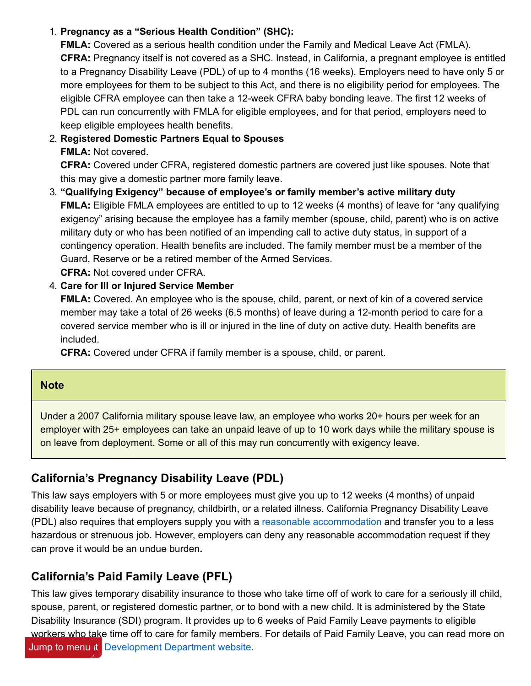## 1. **Pregnancy as a "Serious Health Condition" (SHC):**

**FMLA:** Covered as a serious health condition under the Family and Medical Leave Act (FMLA). **CFRA:** Pregnancy itself is not covered as a SHC. Instead, in California, a pregnant employee is entitled to a Pregnancy Disability Leave (PDL) of up to 4 months (16 weeks). Employers need to have only 5 or more employees for them to be subject to this Act, and there is no eligibility period for employees. The eligible CFRA employee can then take a 12-week CFRA baby bonding leave. The first 12 weeks of PDL can run concurrently with FMLA for eligible employees, and for that period, employers need to keep eligible employees health benefits.

# 2. **Registered Domestic Partners Equal to Spouses FMLA:** Not covered.

**CFRA:** Covered under CFRA, registered domestic partners are covered just like spouses. Note that this may give a domestic partner more family leave.

3. **"Qualifying Exigency" because of employee's or family member's active military duty FMLA:** Eligible FMLA employees are entitled to up to 12 weeks (4 months) of leave for "any qualifying exigency" arising because the employee has a family member (spouse, child, parent) who is on active military duty or who has been notified of an impending call to active duty status, in support of a contingency operation. Health benefits are included. The family member must be a member of the Guard, Reserve or be a retired member of the Armed Services.

**CFRA:** Not covered under CFRA.

### 4. **Care for Ill or Injured Service Member**

**FMLA:** Covered. An employee who is the spouse, child, parent, or next of kin of a covered service member may take a total of 26 weeks (6.5 months) of leave during a 12-month period to care for a covered service member who is ill or injured in the line of duty on active duty. Health benefits are included.

**CFRA:** Covered under CFRA if family member is a spouse, child, or parent.

## **Note**

Under a 2007 California military spouse leave law, an employee who works 20+ hours per week for an employer with 25+ employees can take an unpaid leave of up to 10 work days while the military spouse is on leave from deployment. Some or all of this may run concurrently with exigency leave.

# **California's Pregnancy Disability Leave (PDL)**

This law says employers with 5 or more employees must give you up to 12 weeks (4 months) of unpaid disability leave because of pregnancy, childbirth, or a related illness. California Pregnancy Disability Leave (PDL) also requires that employers supply you with a [reasonable accommodation](https://ca.db101.org/glossary_item.aspx?item-id=978) and transfer you to a less hazardous or strenuous job. However, employers can deny any reasonable accommodation request if they can prove it would be an undue burden**.**

# **California's Paid Family Leave (PFL)**

This law gives temporary disability insurance to those who take time off of work to care for a seriously ill child, spouse, parent, or registered domestic partner, or to bond with a new child. It is administered by the State Disability Insurance (SDI) program. It provides up to 6 weeks of Paid Family Leave payments to eligible workers who take time off to care for family members. For details of Paid Family Leave, you can read more on Jump to menu the [Development Department website.](https://www.edd.ca.gov/disability/PFL_Forms_and_Publications.htm)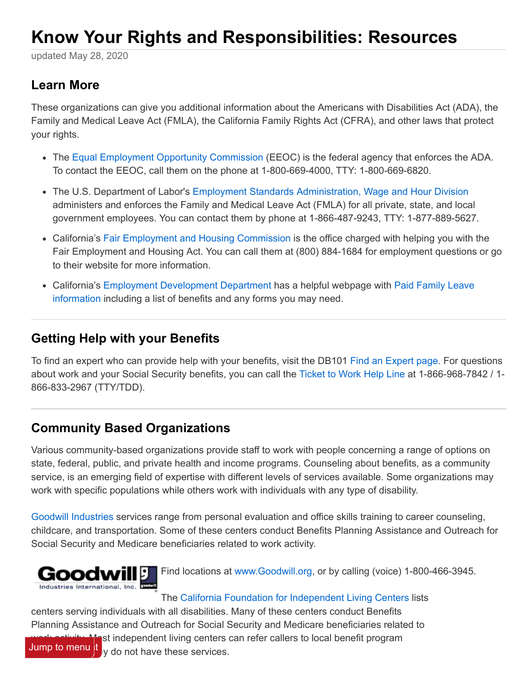# **Know Your Rights and Responsibilities: Resources**

updated May 28, 2020

# **Learn More**

These organizations can give you additional information about the Americans with Disabilities Act (ADA), the Family and Medical Leave Act (FMLA), the California Family Rights Act (CFRA), and other laws that protect your rights.

- The [Equal Employment Opportunity Commission](https://www.eeoc.gov/overview) (EEOC) is the federal agency that enforces the ADA. To contact the EEOC, call them on the phone at 1-800-669-4000, TTY: 1-800-669-6820.
- The U.S. Department of Labor's [Employment Standards Administration, Wage and Hour Division](https://www.dol.gov/agencies/whd/fmla/index) administers and enforces the Family and Medical Leave Act (FMLA) for all private, state, and local government employees. You can contact them by phone at 1-866-487-9243, TTY: 1-877-889-5627.
- California's [Fair Employment and Housing Commission](https://www.dfeh.ca.gov/) is the office charged with helping you with the Fair Employment and Housing Act. You can call them at (800) 884-1684 for employment questions or go to their website for more information.
- [California's Employment Development Department has a helpful webpage with Paid Family Leave](https://www.edd.ca.gov/disability/PFL_Forms_and_Publications.htm) information including a list of benefits and any forms you may need.

# **Getting Help with your Benefits**

To find an expert who can provide help with your benefits, visit the DB101 [Find an Expert page](https://ca.db101.org/ca/directories/planners.htm). For questions about work and your Social Security benefits, you can call the [Ticket to Work Help Line](https://choosework.ssa.gov/) at 1-866-968-7842 / 1- 866-833-2967 (TTY/TDD).

# **Community Based Organizations**

Various community-based organizations provide staff to work with people concerning a range of options on state, federal, public, and private health and income programs. Counseling about benefits, as a community service, is an emerging field of expertise with different levels of services available. Some organizations may work with specific populations while others work with individuals with any type of disability.

[Goodwill Industries](https://www.goodwill.org/) services range from personal evaluation and office skills training to career counseling, childcare, and transportation. Some of these centers conduct Benefits Planning Assistance and Outreach for Social Security and Medicare beneficiaries related to work activity.



Find locations at [www.Goodwill.org,](https://www.goodwill.org/) or by calling (voice) 1-800-466-3945.

## The [California Foundation for Independent Living Centers](https://www.cfilc.org/) lists

centers serving individuals with all disabilities. Many of these centers conduct Benefits Planning Assistance and Outreach for Social Security and Medicare beneficiaries related to



est independent living centers can refer callers to local benefit program Jump to menu $\left| t \right|_y$  do not have these services.